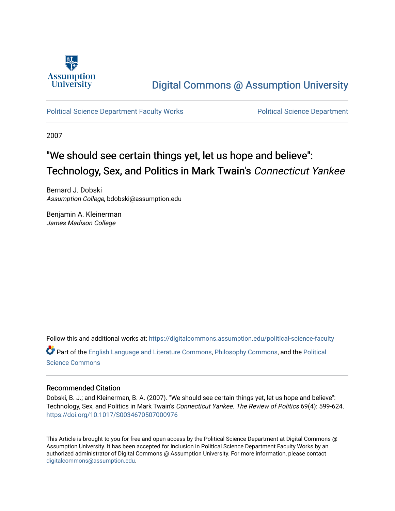

# [Digital Commons @ Assumption University](https://digitalcommons.assumption.edu/)

[Political Science Department Faculty Works](https://digitalcommons.assumption.edu/political-science-faculty) [Political Science Department](https://digitalcommons.assumption.edu/political-science) 

2007

# "We should see certain things yet, let us hope and believe": Technology, Sex, and Politics in Mark Twain's Connecticut Yankee

Bernard J. Dobski Assumption College, bdobski@assumption.edu

Benjamin A. Kleinerman James Madison College

Follow this and additional works at: [https://digitalcommons.assumption.edu/political-science-faculty](https://digitalcommons.assumption.edu/political-science-faculty?utm_source=digitalcommons.assumption.edu%2Fpolitical-science-faculty%2F68&utm_medium=PDF&utm_campaign=PDFCoverPages)

Part of the [English Language and Literature Commons](http://network.bepress.com/hgg/discipline/455?utm_source=digitalcommons.assumption.edu%2Fpolitical-science-faculty%2F68&utm_medium=PDF&utm_campaign=PDFCoverPages), [Philosophy Commons](http://network.bepress.com/hgg/discipline/525?utm_source=digitalcommons.assumption.edu%2Fpolitical-science-faculty%2F68&utm_medium=PDF&utm_campaign=PDFCoverPages), and the [Political](http://network.bepress.com/hgg/discipline/386?utm_source=digitalcommons.assumption.edu%2Fpolitical-science-faculty%2F68&utm_medium=PDF&utm_campaign=PDFCoverPages) [Science Commons](http://network.bepress.com/hgg/discipline/386?utm_source=digitalcommons.assumption.edu%2Fpolitical-science-faculty%2F68&utm_medium=PDF&utm_campaign=PDFCoverPages) 

### Recommended Citation

Dobski, B. J.; and Kleinerman, B. A. (2007). "We should see certain things yet, let us hope and believe": Technology, Sex, and Politics in Mark Twain's Connecticut Yankee. The Review of Politics 69(4): 599-624. <https://doi.org/10.1017/S0034670507000976>

This Article is brought to you for free and open access by the Political Science Department at Digital Commons @ Assumption University. It has been accepted for inclusion in Political Science Department Faculty Works by an authorized administrator of Digital Commons @ Assumption University. For more information, please contact [digitalcommons@assumption.edu](mailto:digitalcommons@assumption.edu).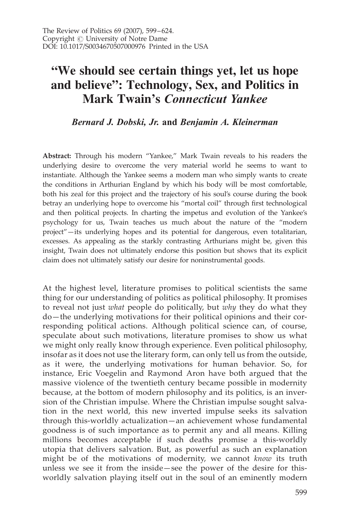## "We should see certain things yet, let us hope and believe": Technology, Sex, and Politics in Mark Twain's Connecticut Yankee

Bernard J. Dobski, Jr. and Benjamin A. Kleinerman

Abstract: Through his modern "Yankee," Mark Twain reveals to his readers the underlying desire to overcome the very material world he seems to want to instantiate. Although the Yankee seems a modern man who simply wants to create the conditions in Arthurian England by which his body will be most comfortable, both his zeal for this project and the trajectory of his soul's course during the book betray an underlying hope to overcome his "mortal coil" through first technological and then political projects. In charting the impetus and evolution of the Yankee's psychology for us, Twain teaches us much about the nature of the "modern project"—its underlying hopes and its potential for dangerous, even totalitarian, excesses. As appealing as the starkly contrasting Arthurians might be, given this insight, Twain does not ultimately endorse this position but shows that its explicit claim does not ultimately satisfy our desire for noninstrumental goods.

At the highest level, literature promises to political scientists the same thing for our understanding of politics as political philosophy. It promises to reveal not just what people do politically, but why they do what they do—the underlying motivations for their political opinions and their corresponding political actions. Although political science can, of course, speculate about such motivations, literature promises to show us what we might only really know through experience. Even political philosophy, insofar as it does not use the literary form, can only tell us from the outside, as it were, the underlying motivations for human behavior. So, for instance, Eric Voegelin and Raymond Aron have both argued that the massive violence of the twentieth century became possible in modernity because, at the bottom of modern philosophy and its politics, is an inversion of the Christian impulse. Where the Christian impulse sought salvation in the next world, this new inverted impulse seeks its salvation through this-worldly actualization—an achievement whose fundamental goodness is of such importance as to permit any and all means. Killing millions becomes acceptable if such deaths promise a this-worldly utopia that delivers salvation. But, as powerful as such an explanation might be of the motivations of modernity, we cannot know its truth unless we see it from the inside—see the power of the desire for thisworldly salvation playing itself out in the soul of an eminently modern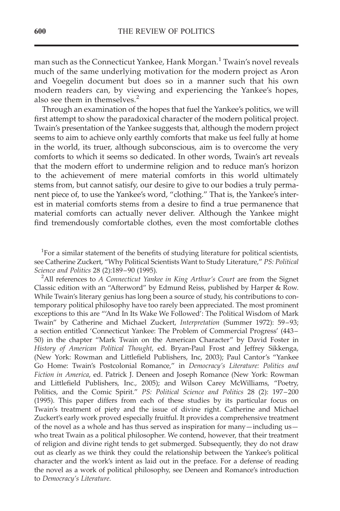man such as the Connecticut Yankee, Hank Morgan.<sup>1</sup> Twain's novel reveals much of the same underlying motivation for the modern project as Aron and Voegelin document but does so in a manner such that his own modern readers can, by viewing and experiencing the Yankee's hopes, also see them in themselves.<sup>2</sup>

Through an examination of the hopes that fuel the Yankee's politics, we will first attempt to show the paradoxical character of the modern political project. Twain's presentation of the Yankee suggests that, although the modern project seems to aim to achieve only earthly comforts that make us feel fully at home in the world, its truer, although subconscious, aim is to overcome the very comforts to which it seems so dedicated. In other words, Twain's art reveals that the modern effort to undermine religion and to reduce man's horizon to the achievement of mere material comforts in this world ultimately stems from, but cannot satisfy, our desire to give to our bodies a truly permanent piece of, to use the Yankee's word, "clothing." That is, the Yankee's interest in material comforts stems from a desire to find a true permanence that material comforts can actually never deliver. Although the Yankee might find tremendously comfortable clothes, even the most comfortable clothes

 $1$ For a similar statement of the benefits of studying literature for political scientists, see Catherine Zuckert, "Why Political Scientists Want to Study Literature," PS: Political Science and Politics 28 (2):189-90 (1995).

<sup>2</sup>All references to A Connecticut Yankee in King Arthur's Court are from the Signet Classic edition with an "Afterword" by Edmund Reiss, published by Harper & Row. While Twain's literary genius has long been a source of study, his contributions to contemporary political philosophy have too rarely been appreciated. The most prominent exceptions to this are "'And In Its Wake We Followed': The Political Wisdom of Mark Twain" by Catherine and Michael Zuckert, Interpretation (Summer 1972): 59–93; a section entitled 'Connecticut Yankee: The Problem of Commercial Progress' (443– 50) in the chapter "Mark Twain on the American Character" by David Foster in History of American Political Thought, ed. Bryan-Paul Frost and Jeffrey Sikkenga, (New York: Rowman and Littlefield Publishers, Inc, 2003); Paul Cantor's "Yankee Go Home: Twain's Postcolonial Romance," in Democracy's Literature: Politics and Fiction in America, ed. Patrick J. Deneen and Joseph Romance (New York: Rowman and Littlefield Publishers, Inc., 2005); and Wilson Carey McWilliams, "Poetry, Politics, and the Comic Spirit." PS: Political Science and Politics 28 (2): 197-200 (1995). This paper differs from each of these studies by its particular focus on Twain's treatment of piety and the issue of divine right. Catherine and Michael Zuckert's early work proved especially fruitful. It provides a comprehensive treatment of the novel as a whole and has thus served as inspiration for many—including us who treat Twain as a political philosopher. We contend, however, that their treatment of religion and divine right tends to get submerged. Subsequently, they do not draw out as clearly as we think they could the relationship between the Yankee's political character and the work's intent as laid out in the preface. For a defense of reading the novel as a work of political philosophy, see Deneen and Romance's introduction to Democracy's Literature.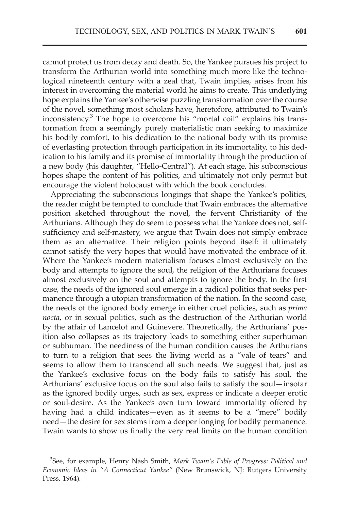cannot protect us from decay and death. So, the Yankee pursues his project to transform the Arthurian world into something much more like the technological nineteenth century with a zeal that, Twain implies, arises from his interest in overcoming the material world he aims to create. This underlying hope explains the Yankee's otherwise puzzling transformation over the course of the novel, something most scholars have, heretofore, attributed to Twain's inconsistency.3 The hope to overcome his "mortal coil" explains his transformation from a seemingly purely materialistic man seeking to maximize his bodily comfort, to his dedication to the national body with its promise of everlasting protection through participation in its immortality, to his dedication to his family and its promise of immortality through the production of a new body (his daughter, "Hello-Central"). At each stage, his subconscious hopes shape the content of his politics, and ultimately not only permit but encourage the violent holocaust with which the book concludes.

Appreciating the subconscious longings that shape the Yankee's politics, the reader might be tempted to conclude that Twain embraces the alternative position sketched throughout the novel, the fervent Christianity of the Arthurians. Although they do seem to possess what the Yankee does not, selfsufficiency and self-mastery, we argue that Twain does not simply embrace them as an alternative. Their religion points beyond itself: it ultimately cannot satisfy the very hopes that would have motivated the embrace of it. Where the Yankee's modern materialism focuses almost exclusively on the body and attempts to ignore the soul, the religion of the Arthurians focuses almost exclusively on the soul and attempts to ignore the body. In the first case, the needs of the ignored soul emerge in a radical politics that seeks permanence through a utopian transformation of the nation. In the second case, the needs of the ignored body emerge in either cruel policies, such as *prima* nocta, or in sexual politics, such as the destruction of the Arthurian world by the affair of Lancelot and Guinevere. Theoretically, the Arthurians' position also collapses as its trajectory leads to something either superhuman or subhuman. The neediness of the human condition causes the Arthurians to turn to a religion that sees the living world as a "vale of tears" and seems to allow them to transcend all such needs. We suggest that, just as the Yankee's exclusive focus on the body fails to satisfy his soul, the Arthurians' exclusive focus on the soul also fails to satisfy the soul—insofar as the ignored bodily urges, such as sex, express or indicate a deeper erotic or soul-desire. As the Yankee's own turn toward immortality offered by having had a child indicates—even as it seems to be a "mere" bodily need—the desire for sex stems from a deeper longing for bodily permanence. Twain wants to show us finally the very real limits on the human condition

<sup>&</sup>lt;sup>3</sup>See, for example, Henry Nash Smith, Mark Twain's Fable of Progress: Political and Economic Ideas in "A Connecticut Yankee" (New Brunswick, NJ: Rutgers University Press, 1964).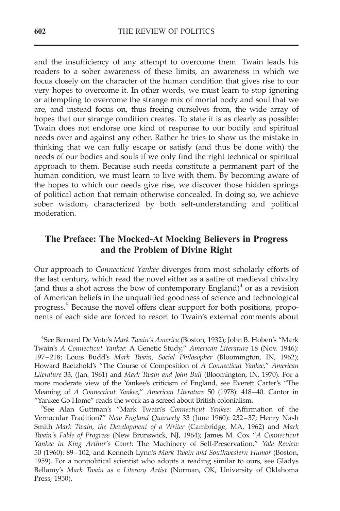and the insufficiency of any attempt to overcome them. Twain leads his readers to a sober awareness of these limits, an awareness in which we focus closely on the character of the human condition that gives rise to our very hopes to overcome it. In other words, we must learn to stop ignoring or attempting to overcome the strange mix of mortal body and soul that we are, and instead focus on, thus freeing ourselves from, the wide array of hopes that our strange condition creates. To state it is as clearly as possible: Twain does not endorse one kind of response to our bodily and spiritual needs over and against any other. Rather he tries to show us the mistake in thinking that we can fully escape or satisfy (and thus be done with) the needs of our bodies and souls if we only find the right technical or spiritual approach to them. Because such needs constitute a permanent part of the human condition, we must learn to live with them. By becoming aware of the hopes to which our needs give rise, we discover those hidden springs of political action that remain otherwise concealed. In doing so, we achieve sober wisdom, characterized by both self-understanding and political moderation.

### The Preface: The Mocked-At Mocking Believers in Progress and the Problem of Divine Right

Our approach to Connecticut Yankee diverges from most scholarly efforts of the last century, which read the novel either as a satire of medieval chivalry (and thus a shot across the bow of contemporary  $\text{England}$ )<sup>4</sup> or as a revision of American beliefs in the unqualified goodness of science and technological progress.<sup>5</sup> Because the novel offers clear support for both positions, proponents of each side are forced to resort to Twain's external comments about

<sup>4</sup>See Bernard De Voto's Mark Twain's America (Boston, 1932); John B. Hoben's "Mark Twain's A Connecticut Yankee: A Genetic Study," American Literature 18 (Nov. 1946): 197-218; Louis Budd's Mark Twain, Social Philosopher (Bloomington, IN, 1962); Howard Baetzhold's "The Course of Composition of A Connecticut Yankee," American Literature 33, (Jan. 1961) and Mark Twain and John Bull (Bloomington, IN, 1970). For a more moderate view of the Yankee's criticism of England, see Everett Carter's "The Meaning of A Connecticut Yankee," American Literature 50 (1978): 418–40. Cantor in "Yankee Go Home" reads the work as a screed about British colonialism. <sup>5</sup>

<sup>5</sup>See Alan Guttman's "Mark Twain's Connecticut Yankee: Affirmation of the Vernacular Tradition?" New England Quarterly 33 (June 1960): 232-37; Henry Nash Smith Mark Twain, the Development of a Writer (Cambridge, MA, 1962) and Mark Twain's Fable of Progress (New Brunswick, NJ, 1964); James M. Cox "A Connecticut Yankee in King Arthur's Court: The Machinery of Self-Preservation," Yale Review 50 (1960): 89– 102; and Kenneth Lynn's Mark Twain and Southwestern Humor (Boston, 1959). For a nonpolitical scientist who adopts a reading similar to ours, see Gladys Bellamy's Mark Twain as a Literary Artist (Norman, OK, University of Oklahoma Press, 1950).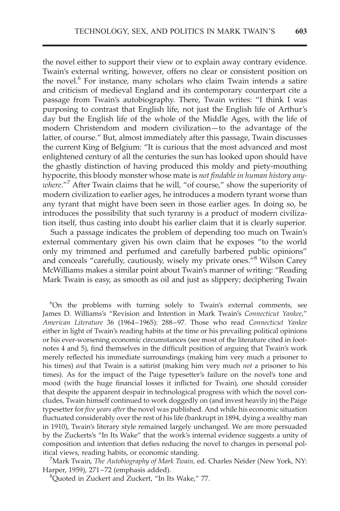the novel either to support their view or to explain away contrary evidence. Twain's external writing, however, offers no clear or consistent position on the novel.<sup>6</sup> For instance, many scholars who claim Twain intends a satire and criticism of medieval England and its contemporary counterpart cite a passage from Twain's autobiography. There, Twain writes: "I think I was purposing to contrast that English life, not just the English life of Arthur's day but the English life of the whole of the Middle Ages, with the life of modern Christendom and modern civilization—to the advantage of the latter, of course." But, almost immediately after this passage, Twain discusses the current King of Belgium: "It is curious that the most advanced and most enlightened century of all the centuries the sun has looked upon should have the ghastly distinction of having produced this moldy and piety-mouthing hypocrite, this bloody monster whose mate is not findable in human history anywhere."<sup>7</sup> After Twain claims that he will, "of course," show the superiority of modern civilization to earlier ages, he introduces a modern tyrant worse than any tyrant that might have been seen in those earlier ages. In doing so, he introduces the possibility that such tyranny is a product of modern civilization itself, thus casting into doubt his earlier claim that it is clearly superior.

Such a passage indicates the problem of depending too much on Twain's external commentary given his own claim that he exposes "to the world only my trimmed and perfumed and carefully barbered public opinions" and conceals "carefully, cautiously, wisely my private ones."<sup>8</sup> Wilson Carey McWilliams makes a similar point about Twain's manner of writing: "Reading Mark Twain is easy, as smooth as oil and just as slippery; deciphering Twain

<sup>6</sup>On the problems with turning solely to Twain's external comments, see James D. Williams's "Revision and Intention in Mark Twain's Connecticut Yankee," American Literature 36 (1964– 1965): 288 –97. Those who read Connecticut Yankee either in light of Twain's reading habits at the time or his prevailing political opinions or his ever-worsening economic circumstances (see most of the literature cited in footnotes 4 and 5), find themselves in the difficult position of arguing that Twain's work merely reflected his immediate surroundings (making him very much a prisoner to his times) and that Twain is a satirist (making him very much not a prisoner to his times). As for the impact of the Paige typesetter's failure on the novel's tone and mood (with the huge financial losses it inflicted for Twain), one should consider that despite the apparent despair in technological progress with which the novel concludes, Twain himself continued to work doggedly on (and invest heavily in) the Paige typesetter for *five years after* the novel was published. And while his economic situation fluctuated considerably over the rest of his life (bankrupt in 1894, dying a wealthy man in 1910), Twain's literary style remained largely unchanged. We are more persuaded by the Zuckerts's "In Its Wake" that the work's internal evidence suggests a unity of composition and intention that defies reducing the novel to changes in personal political views, reading habits, or economic standing. <sup>7</sup>

<sup>7</sup> Mark Twain, *The Autobiography of Mark Twain*, ed. Charles Neider (New York, NY: Harper, 1959), 271-72 (emphasis added).

Quoted in Zuckert and Zuckert, "In Its Wake," 77.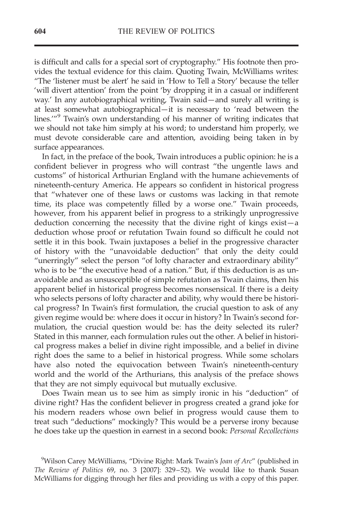is difficult and calls for a special sort of cryptography." His footnote then provides the textual evidence for this claim. Quoting Twain, McWilliams writes: "The 'listener must be alert' he said in 'How to Tell a Story' because the teller 'will divert attention' from the point 'by dropping it in a casual or indifferent way.' In any autobiographical writing, Twain said—and surely all writing is at least somewhat autobiographical—it is necessary to 'read between the lines."<sup>9</sup> Twain's own understanding of his manner of writing indicates that we should not take him simply at his word; to understand him properly, we must devote considerable care and attention, avoiding being taken in by surface appearances.

In fact, in the preface of the book, Twain introduces a public opinion: he is a confident believer in progress who will contrast "the ungentle laws and customs" of historical Arthurian England with the humane achievements of nineteenth-century America. He appears so confident in historical progress that "whatever one of these laws or customs was lacking in that remote time, its place was competently filled by a worse one." Twain proceeds, however, from his apparent belief in progress to a strikingly unprogressive deduction concerning the necessity that the divine right of kings exist—a deduction whose proof or refutation Twain found so difficult he could not settle it in this book. Twain juxtaposes a belief in the progressive character of history with the "unavoidable deduction" that only the deity could "unerringly" select the person "of lofty character and extraordinary ability" who is to be "the executive head of a nation." But, if this deduction is as unavoidable and as unsusceptible of simple refutation as Twain claims, then his apparent belief in historical progress becomes nonsensical. If there is a deity who selects persons of lofty character and ability, why would there be historical progress? In Twain's first formulation, the crucial question to ask of any given regime would be: where does it occur in history? In Twain's second formulation, the crucial question would be: has the deity selected its ruler? Stated in this manner, each formulation rules out the other. A belief in historical progress makes a belief in divine right impossible, and a belief in divine right does the same to a belief in historical progress. While some scholars have also noted the equivocation between Twain's nineteenth-century world and the world of the Arthurians, this analysis of the preface shows that they are not simply equivocal but mutually exclusive.

Does Twain mean us to see him as simply ironic in his "deduction" of divine right? Has the confident believer in progress created a grand joke for his modern readers whose own belief in progress would cause them to treat such "deductions" mockingly? This would be a perverse irony because he does take up the question in earnest in a second book: Personal Recollections

<sup>&</sup>lt;sup>9</sup>Wilson Carey McWilliams, "Divine Right: Mark Twain's Joan of Arc" (published in The Review of Politics 69, no. 3 [2007]: 329-52). We would like to thank Susan McWilliams for digging through her files and providing us with a copy of this paper.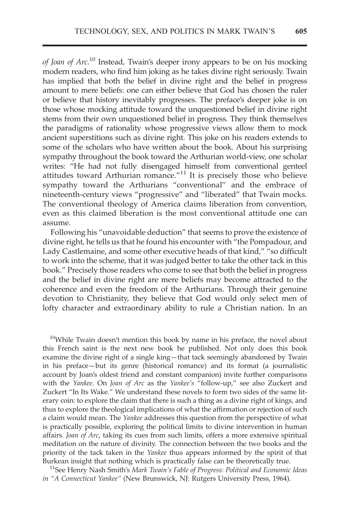of Joan of Arc.<sup>10</sup> Instead, Twain's deeper irony appears to be on his mocking modern readers, who find him joking as he takes divine right seriously. Twain has implied that both the belief in divine right and the belief in progress amount to mere beliefs: one can either believe that God has chosen the ruler or believe that history inevitably progresses. The preface's deeper joke is on those whose mocking attitude toward the unquestioned belief in divine right stems from their own unquestioned belief in progress. They think themselves the paradigms of rationality whose progressive views allow them to mock ancient superstitions such as divine right. This joke on his readers extends to some of the scholars who have written about the book. About his surprising sympathy throughout the book toward the Arthurian world-view, one scholar writes: "He had not fully disengaged himself from conventional genteel attitudes toward Arthurian romance."<sup>11</sup> It is precisely those who believe sympathy toward the Arthurians "conventional" and the embrace of nineteenth-century views "progressive" and "liberated" that Twain mocks. The conventional theology of America claims liberation from convention, even as this claimed liberation is the most conventional attitude one can assume.

Following his "unavoidable deduction" that seems to prove the existence of divine right, he tells us that he found his encounter with "the Pompadour, and Lady Castlemaine, and some other executive heads of that kind," "so difficult to work into the scheme, that it was judged better to take the other tack in this book." Precisely those readers who come to see that both the belief in progress and the belief in divine right are mere beliefs may become attracted to the coherence and even the freedom of the Arthurians. Through their genuine devotion to Christianity, they believe that God would only select men of lofty character and extraordinary ability to rule a Christian nation. In an

 $10$ While Twain doesn't mention this book by name in his preface, the novel about this French saint is the next new book he published. Not only does this book examine the divine right of a single king—that tack seemingly abandoned by Twain in his preface—but its genre (historical romance) and its format (a journalistic account by Joan's oldest friend and constant companion) invite further comparisons with the Yankee. On Joan of Arc as the Yankee's "follow-up," see also Zuckert and Zuckert "In Its Wake." We understand these novels to form two sides of the same literary coin: to explore the claim that there is such a thing as a divine right of kings, and thus to explore the theological implications of what the affirmation or rejection of such a claim would mean. The Yankee addresses this question from the perspective of what is practically possible, exploring the political limits to divine intervention in human affairs. Joan of Arc, taking its cues from such limits, offers a more extensive spiritual meditation on the nature of divinity. The connection between the two books and the priority of the tack taken in the *Yankee* thus appears informed by the spirit of that Burkean insight that nothing which is practically false can be theoretically true.<br><sup>11</sup>See Henry Nash Smith's *Mark Twain's Fable of Progress: Political and Economic Ideas* 

in "A Connecticut Yankee" (New Brunswick, NJ: Rutgers University Press, 1964).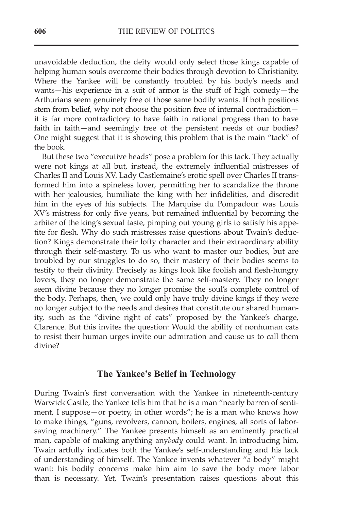unavoidable deduction, the deity would only select those kings capable of helping human souls overcome their bodies through devotion to Christianity. Where the Yankee will be constantly troubled by his body's needs and wants—his experience in a suit of armor is the stuff of high comedy—the Arthurians seem genuinely free of those same bodily wants. If both positions stem from belief, why not choose the position free of internal contradiction it is far more contradictory to have faith in rational progress than to have faith in faith—and seemingly free of the persistent needs of our bodies? One might suggest that it is showing this problem that is the main "tack" of the book.

But these two "executive heads" pose a problem for this tack. They actually were not kings at all but, instead, the extremely influential mistresses of Charles II and Louis XV. Lady Castlemaine's erotic spell over Charles II transformed him into a spineless lover, permitting her to scandalize the throne with her jealousies, humiliate the king with her infidelities, and discredit him in the eyes of his subjects. The Marquise du Pompadour was Louis XV's mistress for only five years, but remained influential by becoming the arbiter of the king's sexual taste, pimping out young girls to satisfy his appetite for flesh. Why do such mistresses raise questions about Twain's deduction? Kings demonstrate their lofty character and their extraordinary ability through their self-mastery. To us who want to master our bodies, but are troubled by our struggles to do so, their mastery of their bodies seems to testify to their divinity. Precisely as kings look like foolish and flesh-hungry lovers, they no longer demonstrate the same self-mastery. They no longer seem divine because they no longer promise the soul's complete control of the body. Perhaps, then, we could only have truly divine kings if they were no longer subject to the needs and desires that constitute our shared humanity, such as the "divine right of cats" proposed by the Yankee's charge, Clarence. But this invites the question: Would the ability of nonhuman cats to resist their human urges invite our admiration and cause us to call them divine?

#### The Yankee's Belief in Technology

During Twain's first conversation with the Yankee in nineteenth-century Warwick Castle, the Yankee tells him that he is a man "nearly barren of sentiment, I suppose—or poetry, in other words"; he is a man who knows how to make things, "guns, revolvers, cannon, boilers, engines, all sorts of laborsaving machinery." The Yankee presents himself as an eminently practical man, capable of making anything anybody could want. In introducing him, Twain artfully indicates both the Yankee's self-understanding and his lack of understanding of himself. The Yankee invents whatever "a body" might want: his bodily concerns make him aim to save the body more labor than is necessary. Yet, Twain's presentation raises questions about this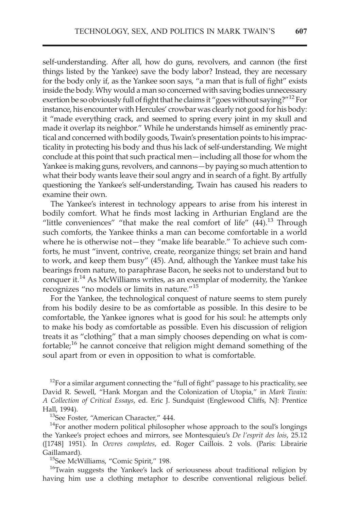self-understanding. After all, how do guns, revolvers, and cannon (the first things listed by the Yankee) save the body labor? Instead, they are necessary for the body only if, as the Yankee soon says, "a man that is full of fight" exists inside the body.Why would a man so concerned with saving bodies unnecessary exertion be so obviously full of fight that he claims it "goes without saying?"<sup>12</sup> For instance, his encounter with Hercules' crowbar was clearly not good for his body: it "made everything crack, and seemed to spring every joint in my skull and made it overlap its neighbor." While he understands himself as eminently practical and concerned with bodily goods, Twain's presentation points to his impracticality in protecting his body and thus his lack of self-understanding. We might conclude at this point that such practical men—including all those for whom the Yankee is making guns, revolvers, and cannons—by paying so much attention to what their body wants leave their soul angry and in search of a fight. By artfully questioning the Yankee's self-understanding, Twain has caused his readers to examine their own.

The Yankee's interest in technology appears to arise from his interest in bodily comfort. What he finds most lacking in Arthurian England are the "little conveniences" "that make the real comfort of life"  $(44)$ .<sup>13</sup> Through such comforts, the Yankee thinks a man can become comfortable in a world where he is otherwise not—they "make life bearable." To achieve such comforts, he must "invent, contrive, create, reorganize things; set brain and hand to work, and keep them busy" (45). And, although the Yankee must take his bearings from nature, to paraphrase Bacon, he seeks not to understand but to conquer it.<sup>14</sup> As McWilliams writes, as an exemplar of modernity, the Yankee recognizes "no models or limits in nature."<sup>15</sup>

For the Yankee, the technological conquest of nature seems to stem purely from his bodily desire to be as comfortable as possible. In this desire to be comfortable, the Yankee ignores what is good for his soul: he attempts only to make his body as comfortable as possible. Even his discussion of religion treats it as "clothing" that a man simply chooses depending on what is comfortable;<sup>16</sup> he cannot conceive that religion might demand something of the soul apart from or even in opposition to what is comfortable.

 $12$ For a similar argument connecting the "full of fight" passage to his practicality, see David R. Sewell, "Hank Morgan and the Colonization of Utopia," in Mark Twain: A Collection of Critical Essays, ed. Eric J. Sundquist (Englewood Cliffs, NJ: Prentice Hall, 1994).<br><sup>13</sup>See Foster, "American Character," 444.

 $14$ For another modern political philosopher whose approach to the soul's longings the Yankee's project echoes and mirrors, see Montesquieu's De l'esprit des lois, 25.12 ([1748] 1951). In Oevres completes, ed. Roger Caillois. 2 vols. (Paris: Librairie Gaillamard).<br><sup>15</sup>See McWilliams, "Comic Spirit," 198.

<sup>16</sup>Twain suggests the Yankee's lack of seriousness about traditional religion by having him use a clothing metaphor to describe conventional religious belief.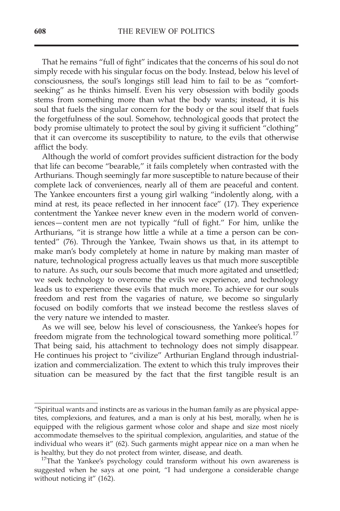That he remains "full of fight" indicates that the concerns of his soul do not simply recede with his singular focus on the body. Instead, below his level of consciousness, the soul's longings still lead him to fail to be as "comfortseeking" as he thinks himself. Even his very obsession with bodily goods stems from something more than what the body wants; instead, it is his soul that fuels the singular concern for the body or the soul itself that fuels the forgetfulness of the soul. Somehow, technological goods that protect the body promise ultimately to protect the soul by giving it sufficient "clothing" that it can overcome its susceptibility to nature, to the evils that otherwise afflict the body.

Although the world of comfort provides sufficient distraction for the body that life can become "bearable," it fails completely when contrasted with the Arthurians. Though seemingly far more susceptible to nature because of their complete lack of conveniences, nearly all of them are peaceful and content. The Yankee encounters first a young girl walking "indolently along, with a mind at rest, its peace reflected in her innocent face" (17). They experience contentment the Yankee never knew even in the modern world of conveniences—content men are not typically "full of fight." For him, unlike the Arthurians, "it is strange how little a while at a time a person can be contented" (76). Through the Yankee, Twain shows us that, in its attempt to make man's body completely at home in nature by making man master of nature, technological progress actually leaves us that much more susceptible to nature. As such, our souls become that much more agitated and unsettled; we seek technology to overcome the evils we experience, and technology leads us to experience these evils that much more. To achieve for our souls freedom and rest from the vagaries of nature, we become so singularly focused on bodily comforts that we instead become the restless slaves of the very nature we intended to master.

As we will see, below his level of consciousness, the Yankee's hopes for freedom migrate from the technological toward something more political.<sup>17</sup> That being said, his attachment to technology does not simply disappear. He continues his project to "civilize" Arthurian England through industrialization and commercialization. The extent to which this truly improves their situation can be measured by the fact that the first tangible result is an

<sup>&</sup>quot;Spiritual wants and instincts are as various in the human family as are physical appetites, complexions, and features, and a man is only at his best, morally, when he is equipped with the religious garment whose color and shape and size most nicely accommodate themselves to the spiritual complexion, angularities, and statue of the individual who wears it" (62). Such garments might appear nice on a man when he is healthy, but they do not protect from winter, disease, and death.<br><sup>17</sup>That the Yankee's psychology could transform without his own awareness is

suggested when he says at one point, "I had undergone a considerable change without noticing it" (162).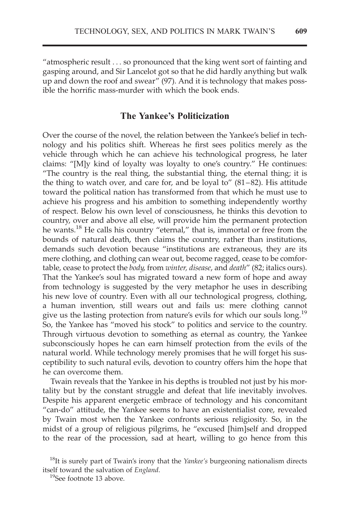"atmospheric result ... so pronounced that the king went sort of fainting and gasping around, and Sir Lancelot got so that he did hardly anything but walk up and down the roof and swear" (97). And it is technology that makes possible the horrific mass-murder with which the book ends.

#### The Yankee's Politicization

Over the course of the novel, the relation between the Yankee's belief in technology and his politics shift. Whereas he first sees politics merely as the vehicle through which he can achieve his technological progress, he later claims: "[M]y kind of loyalty was loyalty to one's country." He continues: "The country is the real thing, the substantial thing, the eternal thing; it is the thing to watch over, and care for, and be loyal to"  $(81-82)$ . His attitude toward the political nation has transformed from that which he must use to achieve his progress and his ambition to something independently worthy of respect. Below his own level of consciousness, he thinks this devotion to country, over and above all else, will provide him the permanent protection he wants.<sup>18</sup> He calls his country "eternal," that is, immortal or free from the bounds of natural death, then claims the country, rather than institutions, demands such devotion because "institutions are extraneous, they are its mere clothing, and clothing can wear out, become ragged, cease to be comfortable, cease to protect the body, from winter, disease, and death" (82; italics ours). That the Yankee's soul has migrated toward a new form of hope and away from technology is suggested by the very metaphor he uses in describing his new love of country. Even with all our technological progress, clothing, a human invention, still wears out and fails us: mere clothing cannot give us the lasting protection from nature's evils for which our souls long.<sup>19</sup> So, the Yankee has "moved his stock" to politics and service to the country. Through virtuous devotion to something as eternal as country, the Yankee subconsciously hopes he can earn himself protection from the evils of the natural world. While technology merely promises that he will forget his susceptibility to such natural evils, devotion to country offers him the hope that he can overcome them.

Twain reveals that the Yankee in his depths is troubled not just by his mortality but by the constant struggle and defeat that life inevitably involves. Despite his apparent energetic embrace of technology and his concomitant "can-do" attitude, the Yankee seems to have an existentialist core, revealed by Twain most when the Yankee confronts serious religiosity. So, in the midst of a group of religious pilgrims, he "excused [him]self and dropped to the rear of the procession, sad at heart, willing to go hence from this

 $18$ It is surely part of Twain's irony that the Yankee's burgeoning nationalism directs itself toward the salvation of England.<br><sup>19</sup>See footnote 13 above.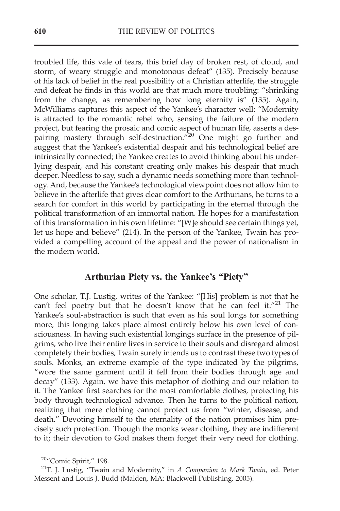troubled life, this vale of tears, this brief day of broken rest, of cloud, and storm, of weary struggle and monotonous defeat" (135). Precisely because of his lack of belief in the real possibility of a Christian afterlife, the struggle and defeat he finds in this world are that much more troubling: "shrinking from the change, as remembering how long eternity is" (135). Again, McWilliams captures this aspect of the Yankee's character well: "Modernity is attracted to the romantic rebel who, sensing the failure of the modern project, but fearing the prosaic and comic aspect of human life, asserts a despairing mastery through self-destruction."<sup>20</sup> One might go further and suggest that the Yankee's existential despair and his technological belief are intrinsically connected; the Yankee creates to avoid thinking about his underlying despair, and his constant creating only makes his despair that much deeper. Needless to say, such a dynamic needs something more than technology. And, because the Yankee's technological viewpoint does not allow him to believe in the afterlife that gives clear comfort to the Arthurians, he turns to a search for comfort in this world by participating in the eternal through the political transformation of an immortal nation. He hopes for a manifestation of this transformation in his own lifetime: "[W]e should see certain things yet, let us hope and believe" (214). In the person of the Yankee, Twain has provided a compelling account of the appeal and the power of nationalism in the modern world.

#### Arthurian Piety vs. the Yankee's "Piety"

One scholar, T.J. Lustig, writes of the Yankee: "[His] problem is not that he can't feel poetry but that he doesn't know that he can feel it."<sup>21</sup> The Yankee's soul-abstraction is such that even as his soul longs for something more, this longing takes place almost entirely below his own level of consciousness. In having such existential longings surface in the presence of pilgrims, who live their entire lives in service to their souls and disregard almost completely their bodies, Twain surely intends us to contrast these two types of souls. Monks, an extreme example of the type indicated by the pilgrims, "wore the same garment until it fell from their bodies through age and decay" (133). Again, we have this metaphor of clothing and our relation to it. The Yankee first searches for the most comfortable clothes, protecting his body through technological advance. Then he turns to the political nation, realizing that mere clothing cannot protect us from "winter, disease, and death." Devoting himself to the eternality of the nation promises him precisely such protection. Though the monks wear clothing, they are indifferent to it; their devotion to God makes them forget their very need for clothing.

 $20^{\prime\prime}$ Comic Spirit," 198.

<sup>21</sup>T. J. Lustig, "Twain and Modernity," in A Companion to Mark Twain, ed. Peter Messent and Louis J. Budd (Malden, MA: Blackwell Publishing, 2005).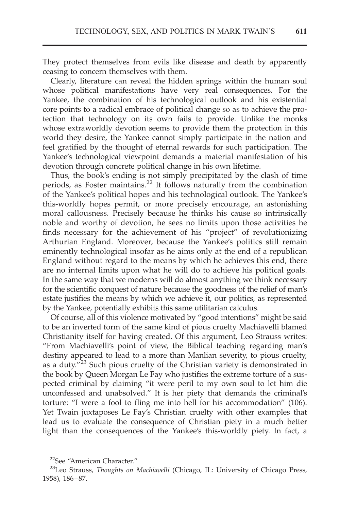They protect themselves from evils like disease and death by apparently ceasing to concern themselves with them.

Clearly, literature can reveal the hidden springs within the human soul whose political manifestations have very real consequences. For the Yankee, the combination of his technological outlook and his existential core points to a radical embrace of political change so as to achieve the protection that technology on its own fails to provide. Unlike the monks whose extraworldly devotion seems to provide them the protection in this world they desire, the Yankee cannot simply participate in the nation and feel gratified by the thought of eternal rewards for such participation. The Yankee's technological viewpoint demands a material manifestation of his devotion through concrete political change in his own lifetime.

Thus, the book's ending is not simply precipitated by the clash of time periods, as Foster maintains.<sup>22</sup> It follows naturally from the combination of the Yankee's political hopes and his technological outlook. The Yankee's this-worldly hopes permit, or more precisely encourage, an astonishing moral callousness. Precisely because he thinks his cause so intrinsically noble and worthy of devotion, he sees no limits upon those activities he finds necessary for the achievement of his "project" of revolutionizing Arthurian England. Moreover, because the Yankee's politics still remain eminently technological insofar as he aims only at the end of a republican England without regard to the means by which he achieves this end, there are no internal limits upon what he will do to achieve his political goals. In the same way that we moderns will do almost anything we think necessary for the scientific conquest of nature because the goodness of the relief of man's estate justifies the means by which we achieve it, our politics, as represented by the Yankee, potentially exhibits this same utilitarian calculus.

Of course, all of this violence motivated by "good intentions" might be said to be an inverted form of the same kind of pious cruelty Machiavelli blamed Christianity itself for having created. Of this argument, Leo Strauss writes: "From Machiavelli's point of view, the Biblical teaching regarding man's destiny appeared to lead to a more than Manlian severity, to pious cruelty, as a duty. $n^{23}$  Such pious cruelty of the Christian variety is demonstrated in the book by Queen Morgan Le Fay who justifies the extreme torture of a suspected criminal by claiming "it were peril to my own soul to let him die unconfessed and unabsolved." It is her piety that demands the criminal's torture: "I were a fool to fling me into hell for his accommodation" (106). Yet Twain juxtaposes Le Fay's Christian cruelty with other examples that lead us to evaluate the consequence of Christian piety in a much better light than the consequences of the Yankee's this-worldly piety. In fact, a

<sup>&</sup>lt;sup>22</sup>See "American Character."

<sup>&</sup>lt;sup>23</sup>Leo Strauss, Thoughts on Machiavelli (Chicago, IL: University of Chicago Press, 1958), 186 –87.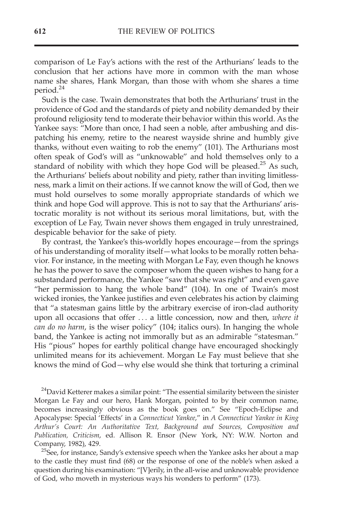comparison of Le Fay's actions with the rest of the Arthurians' leads to the conclusion that her actions have more in common with the man whose name she shares, Hank Morgan, than those with whom she shares a time period.<sup>24</sup>

Such is the case. Twain demonstrates that both the Arthurians' trust in the providence of God and the standards of piety and nobility demanded by their profound religiosity tend to moderate their behavior within this world. As the Yankee says: "More than once, I had seen a noble, after ambushing and dispatching his enemy, retire to the nearest wayside shrine and humbly give thanks, without even waiting to rob the enemy" (101). The Arthurians most often speak of God's will as "unknowable" and hold themselves only to a standard of nobility with which they hope God will be pleased.<sup>25</sup> As such, the Arthurians' beliefs about nobility and piety, rather than inviting limitlessness, mark a limit on their actions. If we cannot know the will of God, then we must hold ourselves to some morally appropriate standards of which we think and hope God will approve. This is not to say that the Arthurians' aristocratic morality is not without its serious moral limitations, but, with the exception of Le Fay, Twain never shows them engaged in truly unrestrained, despicable behavior for the sake of piety.

By contrast, the Yankee's this-worldly hopes encourage—from the springs of his understanding of morality itself—what looks to be morally rotten behavior. For instance, in the meeting with Morgan Le Fay, even though he knows he has the power to save the composer whom the queen wishes to hang for a substandard performance, the Yankee "saw that she was right" and even gave "her permission to hang the whole band" (104). In one of Twain's most wicked ironies, the Yankee justifies and even celebrates his action by claiming that "a statesman gains little by the arbitrary exercise of iron-clad authority upon all occasions that offer ... a little concession, now and then, where it can do no harm, is the wiser policy" (104; italics ours). In hanging the whole band, the Yankee is acting not immorally but as an admirable "statesman." His "pious" hopes for earthly political change have encouraged shockingly unlimited means for its achievement. Morgan Le Fay must believe that she knows the mind of God—why else would she think that torturing a criminal

<sup>24</sup>David Ketterer makes a similar point: "The essential similarity between the sinister Morgan Le Fay and our hero, Hank Morgan, pointed to by their common name, becomes increasingly obvious as the book goes on." See "Epoch-Eclipse and Apocalypse: Special 'Effects' in a Connecticut Yankee," in A Connecticut Yankee in King Arthur's Court: An Authoritative Text, Background and Sources, Composition and Publication, Criticism, ed. Allison R. Ensor (New York, NY: W.W. Norton and Company, 1982), 429.<br><sup>25</sup>See, for instance, Sandy's extensive speech when the Yankee asks her about a map

to the castle they must find (68) or the response of one of the noble's when asked a question during his examination: "[V]erily, in the all-wise and unknowable providence of God, who moveth in mysterious ways his wonders to perform" (173).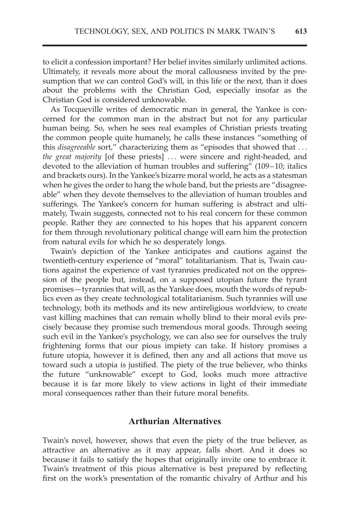to elicit a confession important? Her belief invites similarly unlimited actions. Ultimately, it reveals more about the moral callousness invited by the presumption that we can control God's will, in this life or the next, than it does about the problems with the Christian God, especially insofar as the Christian God is considered unknowable.

As Tocqueville writes of democratic man in general, the Yankee is concerned for the common man in the abstract but not for any particular human being. So, when he sees real examples of Christian priests treating the common people quite humanely, he calls these instances "something of this disagreeable sort," characterizing them as "episodes that showed that ... the great majority [of these priests] ... were sincere and right-headed, and devoted to the alleviation of human troubles and suffering" (109-10; italics and brackets ours). In the Yankee's bizarre moral world, he acts as a statesman when he gives the order to hang the whole band, but the priests are "disagreeable" when they devote themselves to the alleviation of human troubles and sufferings. The Yankee's concern for human suffering is abstract and ultimately, Twain suggests, connected not to his real concern for these common people. Rather they are connected to his hopes that his apparent concern for them through revolutionary political change will earn him the protection from natural evils for which he so desperately longs.

Twain's depiction of the Yankee anticipates and cautions against the twentieth-century experience of "moral" totalitarianism. That is, Twain cautions against the experience of vast tyrannies predicated not on the oppression of the people but, instead, on a supposed utopian future the tyrant promises—tyrannies that will, as the Yankee does, mouth the words of republics even as they create technological totalitarianism. Such tyrannies will use technology, both its methods and its new antireligious worldview, to create vast killing machines that can remain wholly blind to their moral evils precisely because they promise such tremendous moral goods. Through seeing such evil in the Yankee's psychology, we can also see for ourselves the truly frightening forms that our pious impiety can take. If history promises a future utopia, however it is defined, then any and all actions that move us toward such a utopia is justified. The piety of the true believer, who thinks the future "unknowable" except to God, looks much more attractive because it is far more likely to view actions in light of their immediate moral consequences rather than their future moral benefits.

#### Arthurian Alternatives

Twain's novel, however, shows that even the piety of the true believer, as attractive an alternative as it may appear, falls short. And it does so because it fails to satisfy the hopes that originally invite one to embrace it. Twain's treatment of this pious alternative is best prepared by reflecting first on the work's presentation of the romantic chivalry of Arthur and his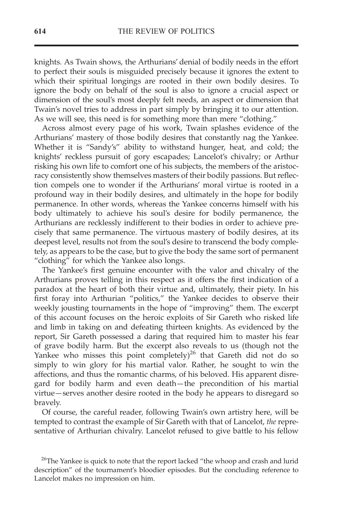knights. As Twain shows, the Arthurians' denial of bodily needs in the effort to perfect their souls is misguided precisely because it ignores the extent to which their spiritual longings are rooted in their own bodily desires. To ignore the body on behalf of the soul is also to ignore a crucial aspect or dimension of the soul's most deeply felt needs, an aspect or dimension that Twain's novel tries to address in part simply by bringing it to our attention. As we will see, this need is for something more than mere "clothing."

Across almost every page of his work, Twain splashes evidence of the Arthurians' mastery of those bodily desires that constantly nag the Yankee. Whether it is "Sandy's" ability to withstand hunger, heat, and cold; the knights' reckless pursuit of gory escapades; Lancelot's chivalry; or Arthur risking his own life to comfort one of his subjects, the members of the aristocracy consistently show themselves masters of their bodily passions. But reflection compels one to wonder if the Arthurians' moral virtue is rooted in a profound way in their bodily desires, and ultimately in the hope for bodily permanence. In other words, whereas the Yankee concerns himself with his body ultimately to achieve his soul's desire for bodily permanence, the Arthurians are recklessly indifferent to their bodies in order to achieve precisely that same permanence. The virtuous mastery of bodily desires, at its deepest level, results not from the soul's desire to transcend the body completely, as appears to be the case, but to give the body the same sort of permanent "clothing" for which the Yankee also longs.

The Yankee's first genuine encounter with the valor and chivalry of the Arthurians proves telling in this respect as it offers the first indication of a paradox at the heart of both their virtue and, ultimately, their piety. In his first foray into Arthurian "politics," the Yankee decides to observe their weekly jousting tournaments in the hope of "improving" them. The excerpt of this account focuses on the heroic exploits of Sir Gareth who risked life and limb in taking on and defeating thirteen knights. As evidenced by the report, Sir Gareth possessed a daring that required him to master his fear of grave bodily harm. But the excerpt also reveals to us (though not the Yankee who misses this point completely)<sup>26</sup> that Gareth did not do so simply to win glory for his martial valor. Rather, he sought to win the affections, and thus the romantic charms, of his beloved. His apparent disregard for bodily harm and even death—the precondition of his martial virtue—serves another desire rooted in the body he appears to disregard so bravely.

Of course, the careful reader, following Twain's own artistry here, will be tempted to contrast the example of Sir Gareth with that of Lancelot, the representative of Arthurian chivalry. Lancelot refused to give battle to his fellow

<sup>26</sup>The Yankee is quick to note that the report lacked "the whoop and crash and lurid description" of the tournament's bloodier episodes. But the concluding reference to Lancelot makes no impression on him.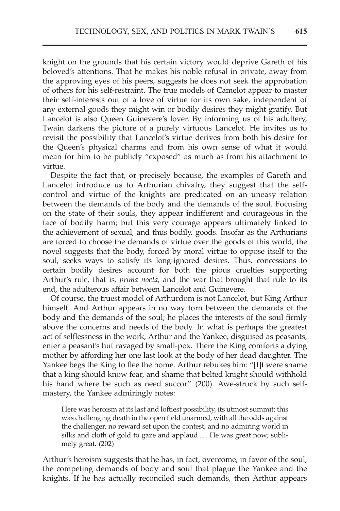knight on the grounds that his certain victory would deprive Gareth of his beloved's attentions. That he makes his noble refusal in private, away from the approving eyes of his peers, suggests he does not seek the approbation of others for his self-restraint. The true models of Camelot appear to master their self-interests out of a love of virtue for its own sake, independent of any external goods they might win or bodily desires they might gratify. But Lancelot is also Queen Guinevere's lover. By informing us of his adultery, Twain darkens the picture of a purely virtuous Lancelot. He invites us to revisit the possibility that Lancelot's virtue derives from both his desire for the Queen's physical charms and from his own sense of what it would mean for him to be publicly "exposed" as much as from his attachment to virtue.

Despite the fact that, or precisely because, the examples of Gareth and Lancelot introduce us to Arthurian chivalry, they suggest that the selfcontrol and virtue of the knights are predicated on an uneasy relation between the demands of the body and the demands of the soul. Focusing on the state of their souls, they appear indifferent and courageous in the face of bodily harm; but this very courage appears ultimately linked to the achievement of sexual, and thus bodily, goods. Insofar as the Arthurians are forced to choose the demands of virtue over the goods of this world, the novel suggests that the body, forced by moral virtue to oppose itself to the soul, seeks ways to satisfy its long-ignored desires. Thus, concessions to certain bodily desires account for both the pious cruelties supporting Arthur's rule, that is, *prima nocta*, and the war that brought that rule to its end, the adulterous affair between Lancelot and Guinevere.

Of course, the truest model of Arthurdom is not Lancelot, but King Arthur himself. And Arthur appears in no way torn between the demands of the body and the demands of the soul; he places the interests of the soul firmly above the concerns and needs of the body. In what is perhaps the greatest act of selflessness in the work, Arthur and the Yankee, disguised as peasants, enter a peasant's hut ravaged by small-pox. There the King comforts a dying mother by affording her one last look at the body of her dead daughter. The Yankee begs the King to flee the home. Arthur rebukes him: "[I]t were shame that a king should know fear, and shame that belted knight should withhold his hand where be such as need succor" (200). Awe-struck by such selfmastery, the Yankee admiringly notes:

Here was heroism at its last and loftiest possibility, its utmost summit; this was challenging death in the open field unarmed, with all the odds against the challenger, no reward set upon the contest, and no admiring world in silks and cloth of gold to gaze and applaud ... He was great now; sublimely great. (202)

Arthur's heroism suggests that he has, in fact, overcome, in favor of the soul, the competing demands of body and soul that plague the Yankee and the knights. If he has actually reconciled such demands, then Arthur appears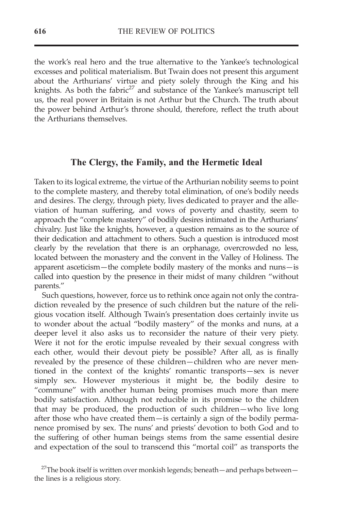the work's real hero and the true alternative to the Yankee's technological excesses and political materialism. But Twain does not present this argument about the Arthurians' virtue and piety solely through the King and his knights. As both the fabric $27$  and substance of the Yankee's manuscript tell us, the real power in Britain is not Arthur but the Church. The truth about the power behind Arthur's throne should, therefore, reflect the truth about the Arthurians themselves.

#### The Clergy, the Family, and the Hermetic Ideal

Taken to its logical extreme, the virtue of the Arthurian nobility seems to point to the complete mastery, and thereby total elimination, of one's bodily needs and desires. The clergy, through piety, lives dedicated to prayer and the alleviation of human suffering, and vows of poverty and chastity, seem to approach the "complete mastery" of bodily desires intimated in the Arthurians' chivalry. Just like the knights, however, a question remains as to the source of their dedication and attachment to others. Such a question is introduced most clearly by the revelation that there is an orphanage, overcrowded no less, located between the monastery and the convent in the Valley of Holiness. The apparent asceticism—the complete bodily mastery of the monks and nuns—is called into question by the presence in their midst of many children "without parents."

Such questions, however, force us to rethink once again not only the contradiction revealed by the presence of such children but the nature of the religious vocation itself. Although Twain's presentation does certainly invite us to wonder about the actual "bodily mastery" of the monks and nuns, at a deeper level it also asks us to reconsider the nature of their very piety. Were it not for the erotic impulse revealed by their sexual congress with each other, would their devout piety be possible? After all, as is finally revealed by the presence of these children—children who are never mentioned in the context of the knights' romantic transports—sex is never simply sex. However mysterious it might be, the bodily desire to "commune" with another human being promises much more than mere bodily satisfaction. Although not reducible in its promise to the children that may be produced, the production of such children—who live long after those who have created them—is certainly a sign of the bodily permanence promised by sex. The nuns' and priests' devotion to both God and to the suffering of other human beings stems from the same essential desire and expectation of the soul to transcend this "mortal coil" as transports the

<sup>&</sup>lt;sup>27</sup>The book itself is written over monkish legends; beneath—and perhaps between the lines is a religious story.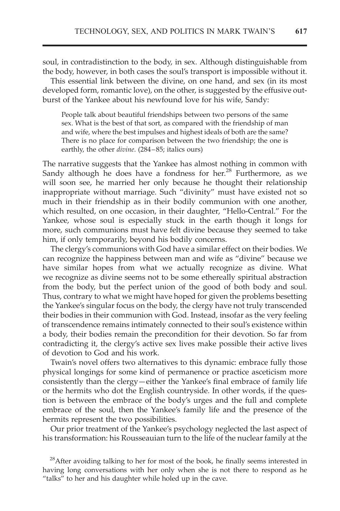soul, in contradistinction to the body, in sex. Although distinguishable from the body, however, in both cases the soul's transport is impossible without it.

This essential link between the divine, on one hand, and sex (in its most developed form, romantic love), on the other, is suggested by the effusive outburst of the Yankee about his newfound love for his wife, Sandy:

People talk about beautiful friendships between two persons of the same sex. What is the best of that sort, as compared with the friendship of man and wife, where the best impulses and highest ideals of both are the same? There is no place for comparison between the two friendship; the one is earthly, the other *divine*. (284–85; italics ours)

The narrative suggests that the Yankee has almost nothing in common with Sandy although he does have a fondness for her.<sup>28</sup> Furthermore, as we will soon see, he married her only because he thought their relationship inappropriate without marriage. Such "divinity" must have existed not so much in their friendship as in their bodily communion with one another, which resulted, on one occasion, in their daughter, "Hello-Central." For the Yankee, whose soul is especially stuck in the earth though it longs for more, such communions must have felt divine because they seemed to take him, if only temporarily, beyond his bodily concerns.

The clergy's communions with God have a similar effect on their bodies. We can recognize the happiness between man and wife as "divine" because we have similar hopes from what we actually recognize as divine. What we recognize as divine seems not to be some ethereally spiritual abstraction from the body, but the perfect union of the good of both body and soul. Thus, contrary to what we might have hoped for given the problems besetting the Yankee's singular focus on the body, the clergy have not truly transcended their bodies in their communion with God. Instead, insofar as the very feeling of transcendence remains intimately connected to their soul's existence within a body, their bodies remain the precondition for their devotion. So far from contradicting it, the clergy's active sex lives make possible their active lives of devotion to God and his work.

Twain's novel offers two alternatives to this dynamic: embrace fully those physical longings for some kind of permanence or practice asceticism more consistently than the clergy—either the Yankee's final embrace of family life or the hermits who dot the English countryside. In other words, if the question is between the embrace of the body's urges and the full and complete embrace of the soul, then the Yankee's family life and the presence of the hermits represent the two possibilities.

Our prior treatment of the Yankee's psychology neglected the last aspect of his transformation: his Rousseauian turn to the life of the nuclear family at the

 $^{28}$ After avoiding talking to her for most of the book, he finally seems interested in having long conversations with her only when she is not there to respond as he "talks" to her and his daughter while holed up in the cave.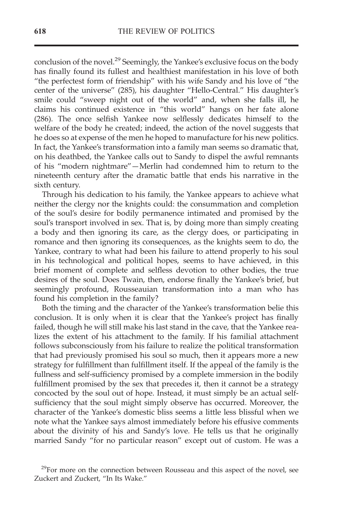conclusion of the novel.<sup>29</sup> Seemingly, the Yankee's exclusive focus on the body has finally found its fullest and healthiest manifestation in his love of both "the perfectest form of friendship" with his wife Sandy and his love of "the center of the universe" (285), his daughter "Hello-Central." His daughter's smile could "sweep night out of the world" and, when she falls ill, he claims his continued existence in "this world" hangs on her fate alone (286). The once selfish Yankee now selflessly dedicates himself to the welfare of the body he created; indeed, the action of the novel suggests that he does so at expense of the men he hoped to manufacture for his new politics. In fact, the Yankee's transformation into a family man seems so dramatic that, on his deathbed, the Yankee calls out to Sandy to dispel the awful remnants of his "modern nightmare"—Merlin had condemned him to return to the nineteenth century after the dramatic battle that ends his narrative in the sixth century.

Through his dedication to his family, the Yankee appears to achieve what neither the clergy nor the knights could: the consummation and completion of the soul's desire for bodily permanence intimated and promised by the soul's transport involved in sex. That is, by doing more than simply creating a body and then ignoring its care, as the clergy does, or participating in romance and then ignoring its consequences, as the knights seem to do, the Yankee, contrary to what had been his failure to attend properly to his soul in his technological and political hopes, seems to have achieved, in this brief moment of complete and selfless devotion to other bodies, the true desires of the soul. Does Twain, then, endorse finally the Yankee's brief, but seemingly profound, Rousseauian transformation into a man who has found his completion in the family?

Both the timing and the character of the Yankee's transformation belie this conclusion. It is only when it is clear that the Yankee's project has finally failed, though he will still make his last stand in the cave, that the Yankee realizes the extent of his attachment to the family. If his familial attachment follows subconsciously from his failure to realize the political transformation that had previously promised his soul so much, then it appears more a new strategy for fulfillment than fulfillment itself. If the appeal of the family is the fullness and self-sufficiency promised by a complete immersion in the bodily fulfillment promised by the sex that precedes it, then it cannot be a strategy concocted by the soul out of hope. Instead, it must simply be an actual selfsufficiency that the soul might simply observe has occurred. Moreover, the character of the Yankee's domestic bliss seems a little less blissful when we note what the Yankee says almost immediately before his effusive comments about the divinity of his and Sandy's love. He tells us that he originally married Sandy "for no particular reason" except out of custom. He was a

<sup>&</sup>lt;sup>29</sup>For more on the connection between Rousseau and this aspect of the novel, see Zuckert and Zuckert, "In Its Wake."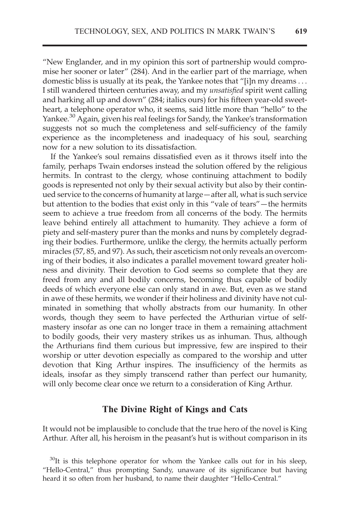"New Englander, and in my opinion this sort of partnership would compromise her sooner or later" (284). And in the earlier part of the marriage, when domestic bliss is usually at its peak, the Yankee notes that "[i]n my dreams ... I still wandered thirteen centuries away, and my *unsatisfied* spirit went calling and harking all up and down" (284; italics ours) for his fifteen year-old sweetheart, a telephone operator who, it seems, said little more than "hello" to the Yankee.<sup>30</sup> Again, given his real feelings for Sandy, the Yankee's transformation suggests not so much the completeness and self-sufficiency of the family experience as the incompleteness and inadequacy of his soul, searching now for a new solution to its dissatisfaction.

If the Yankee's soul remains dissatisfied even as it throws itself into the family, perhaps Twain endorses instead the solution offered by the religious hermits. In contrast to the clergy, whose continuing attachment to bodily goods is represented not only by their sexual activity but also by their continued service to the concerns of humanity at large—after all, what is such service but attention to the bodies that exist only in this "vale of tears"—the hermits seem to achieve a true freedom from all concerns of the body. The hermits leave behind entirely all attachment to humanity. They achieve a form of piety and self-mastery purer than the monks and nuns by completely degrading their bodies. Furthermore, unlike the clergy, the hermits actually perform miracles (57, 85, and 97). As such, their asceticism not only reveals an overcoming of their bodies, it also indicates a parallel movement toward greater holiness and divinity. Their devotion to God seems so complete that they are freed from any and all bodily concerns, becoming thus capable of bodily deeds of which everyone else can only stand in awe. But, even as we stand in awe of these hermits, we wonder if their holiness and divinity have not culminated in something that wholly abstracts from our humanity. In other words, though they seem to have perfected the Arthurian virtue of selfmastery insofar as one can no longer trace in them a remaining attachment to bodily goods, their very mastery strikes us as inhuman. Thus, although the Arthurians find them curious but impressive, few are inspired to their worship or utter devotion especially as compared to the worship and utter devotion that King Arthur inspires. The insufficiency of the hermits as ideals, insofar as they simply transcend rather than perfect our humanity, will only become clear once we return to a consideration of King Arthur.

#### The Divine Right of Kings and Cats

It would not be implausible to conclude that the true hero of the novel is King Arthur. After all, his heroism in the peasant's hut is without comparison in its

 $30$ It is this telephone operator for whom the Yankee calls out for in his sleep, "Hello-Central," thus prompting Sandy, unaware of its significance but having heard it so often from her husband, to name their daughter "Hello-Central."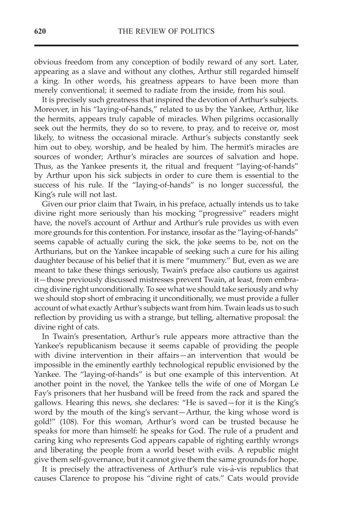obvious freedom from any conception of bodily reward of any sort. Later, appearing as a slave and without any clothes, Arthur still regarded himself a king. In other words, his greatness appears to have been more than merely conventional; it seemed to radiate from the inside, from his soul.

It is precisely such greatness that inspired the devotion of Arthur's subjects. Moreover, in his "laying-of-hands," related to us by the Yankee, Arthur, like the hermits, appears truly capable of miracles. When pilgrims occasionally seek out the hermits, they do so to revere, to pray, and to receive or, most likely, to witness the occasional miracle. Arthur's subjects constantly seek him out to obey, worship, and be healed by him. The hermit's miracles are sources of wonder; Arthur's miracles are sources of salvation and hope. Thus, as the Yankee presents it, the ritual and frequent "laying-of-hands" by Arthur upon his sick subjects in order to cure them is essential to the success of his rule. If the "laying-of-hands" is no longer successful, the King's rule will not last.

Given our prior claim that Twain, in his preface, actually intends us to take divine right more seriously than his mocking "progressive" readers might have, the novel's account of Arthur and Arthur's rule provides us with even more grounds for this contention. For instance, insofar as the "laying-of-hands" seems capable of actually curing the sick, the joke seems to be, not on the Arthurians, but on the Yankee incapable of seeking such a cure for his ailing daughter because of his belief that it is mere "mummery." But, even as we are meant to take these things seriously, Twain's preface also cautions us against it—those previously discussed mistresses prevent Twain, at least, from embracing divine right unconditionally. To see what we should take seriously and why we should stop short of embracing it unconditionally, we must provide a fuller account of what exactly Arthur's subjects want from him. Twain leads us to such reflection by providing us with a strange, but telling, alternative proposal: the divine right of cats.

In Twain's presentation, Arthur's rule appears more attractive than the Yankee's republicanism because it seems capable of providing the people with divine intervention in their affairs—an intervention that would be impossible in the eminently earthly technological republic envisioned by the Yankee. The "laying-of-hands" is but one example of this intervention. At another point in the novel, the Yankee tells the wife of one of Morgan Le Fay's prisoners that her husband will be freed from the rack and spared the gallows. Hearing this news, she declares: "He is saved—for it is the King's word by the mouth of the king's servant—Arthur, the king whose word is gold!" (108). For this woman, Arthur's word can be trusted because he speaks for more than himself: he speaks for God. The rule of a prudent and caring king who represents God appears capable of righting earthly wrongs and liberating the people from a world beset with evils. A republic might give them self-governance, but it cannot give them the same grounds for hope.

It is precisely the attractiveness of Arthur's rule vis-à-vis republics that causes Clarence to propose his "divine right of cats." Cats would provide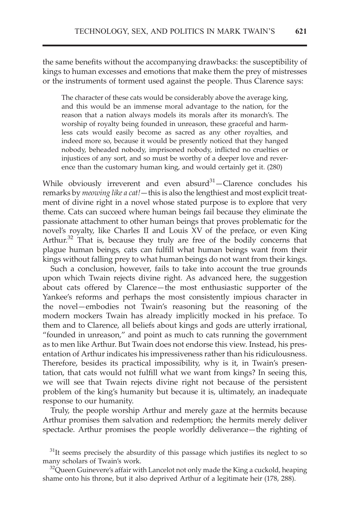the same benefits without the accompanying drawbacks: the susceptibility of kings to human excesses and emotions that make them the prey of mistresses or the instruments of torment used against the people. Thus Clarence says:

The character of these cats would be considerably above the average king, and this would be an immense moral advantage to the nation, for the reason that a nation always models its morals after its monarch's. The worship of royalty being founded in unreason, these graceful and harmless cats would easily become as sacred as any other royalties, and indeed more so, because it would be presently noticed that they hanged nobody, beheaded nobody, imprisoned nobody, inflicted no cruelties or injustices of any sort, and so must be worthy of a deeper love and reverence than the customary human king, and would certainly get it. (280)

While obviously irreverent and even absurd<sup>31</sup>-Clarence concludes his remarks by *meowing like a cat!* — this is also the lengthiest and most explicit treatment of divine right in a novel whose stated purpose is to explore that very theme. Cats can succeed where human beings fail because they eliminate the passionate attachment to other human beings that proves problematic for the novel's royalty, like Charles II and Louis XV of the preface, or even King Arthur.<sup>32</sup> That is, because they truly are free of the bodily concerns that plague human beings, cats can fulfill what human beings want from their kings without falling prey to what human beings do not want from their kings.

Such a conclusion, however, fails to take into account the true grounds upon which Twain rejects divine right. As advanced here, the suggestion about cats offered by Clarence—the most enthusiastic supporter of the Yankee's reforms and perhaps the most consistently impious character in the novel—embodies not Twain's reasoning but the reasoning of the modern mockers Twain has already implicitly mocked in his preface. To them and to Clarence, all beliefs about kings and gods are utterly irrational, "founded in unreason," and point as much to cats running the government as to men like Arthur. But Twain does not endorse this view. Instead, his presentation of Arthur indicates his impressiveness rather than his ridiculousness. Therefore, besides its practical impossibility, why is it, in Twain's presentation, that cats would not fulfill what we want from kings? In seeing this, we will see that Twain rejects divine right not because of the persistent problem of the king's humanity but because it is, ultimately, an inadequate response to our humanity.

Truly, the people worship Arthur and merely gaze at the hermits because Arthur promises them salvation and redemption; the hermits merely deliver spectacle. Arthur promises the people worldly deliverance—the righting of

 $31$ It seems precisely the absurdity of this passage which justifies its neglect to so many scholars of Twain's work.<br><sup>32</sup>Queen Guinevere's affair with Lancelot not only made the King a cuckold, heaping

shame onto his throne, but it also deprived Arthur of a legitimate heir (178, 288).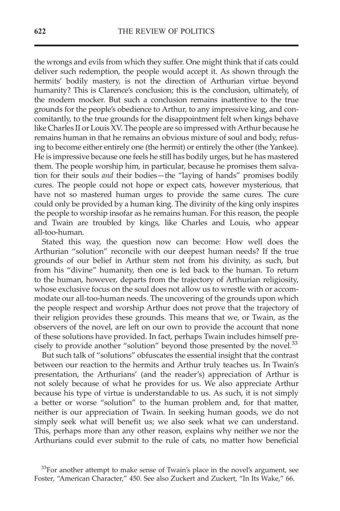the wrongs and evils from which they suffer. One might think that if cats could deliver such redemption, the people would accept it. As shown through the hermits' bodily mastery, is not the direction of Arthurian virtue beyond humanity? This is Clarence's conclusion; this is the conclusion, ultimately, of the modern mocker. But such a conclusion remains inattentive to the true grounds for the people's obedience to Arthur, to any impressive king, and concomitantly, to the true grounds for the disappointment felt when kings behave like Charles II or Louis XV. The people are so impressed with Arthur because he remains human in that he remains an obvious mixture of soul and body, refusing to become either entirely one (the hermit) or entirely the other (the Yankee). He is impressive because one feels he still has bodily urges, but he has mastered them. The people worship him, in particular, because he promises them salvation for their souls and their bodies—the "laying of hands" promises bodily cures. The people could not hope or expect cats, however mysterious, that have not so mastered human urges to provide the same cures. The cure could only be provided by a human king. The divinity of the king only inspires the people to worship insofar as he remains human. For this reason, the people and Twain are troubled by kings, like Charles and Louis, who appear all-too-human.

Stated this way, the question now can become: How well does the Arthurian "solution" reconcile with our deepest human needs? If the true grounds of our belief in Arthur stem not from his divinity, as such, but from his "divine" humanity, then one is led back to the human. To return to the human, however, departs from the trajectory of Arthurian religiosity, whose exclusive focus on the soul does not allow us to wrestle with or accommodate our all-too-human needs. The uncovering of the grounds upon which the people respect and worship Arthur does not prove that the trajectory of their religion provides these grounds. This means that we, or Twain, as the observers of the novel, are left on our own to provide the account that none of these solutions have provided. In fact, perhaps Twain includes himself precisely to provide another "solution" beyond those presented by the novel.<sup>33</sup>

But such talk of "solutions" obfuscates the essential insight that the contrast between our reaction to the hermits and Arthur truly teaches us. In Twain's presentation, the Arthurians' (and the reader's) appreciation of Arthur is not solely because of what he provides for us. We also appreciate Arthur because his type of virtue is understandable to us. As such, it is not simply a better or worse "solution" to the human problem and, for that matter, neither is our appreciation of Twain. In seeking human goods, we do not simply seek what will benefit us; we also seek what we can understand. This, perhaps more than any other reason, explains why neither we nor the Arthurians could ever submit to the rule of cats, no matter how beneficial

 $33$ For another attempt to make sense of Twain's place in the novel's argument, see Foster, "American Character," 450. See also Zuckert and Zuckert, "In Its Wake," 66.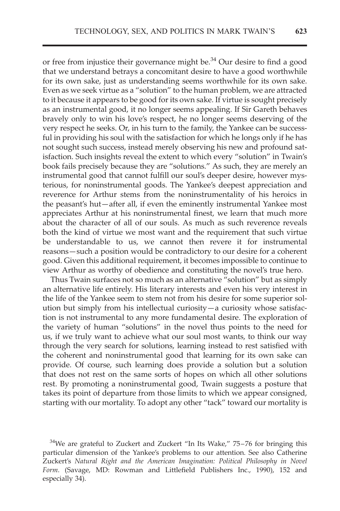or free from injustice their governance might be.<sup>34</sup> Our desire to find a good that we understand betrays a concomitant desire to have a good worthwhile for its own sake, just as understanding seems worthwhile for its own sake. Even as we seek virtue as a "solution" to the human problem, we are attracted to it because it appears to be good for its own sake. If virtue is sought precisely as an instrumental good, it no longer seems appealing. If Sir Gareth behaves bravely only to win his love's respect, he no longer seems deserving of the very respect he seeks. Or, in his turn to the family, the Yankee can be successful in providing his soul with the satisfaction for which he longs only if he has not sought such success, instead merely observing his new and profound satisfaction. Such insights reveal the extent to which every "solution" in Twain's book fails precisely because they are "solutions." As such, they are merely an instrumental good that cannot fulfill our soul's deeper desire, however mysterious, for noninstrumental goods. The Yankee's deepest appreciation and reverence for Arthur stems from the noninstrumentality of his heroics in the peasant's hut—after all, if even the eminently instrumental Yankee most appreciates Arthur at his noninstrumental finest, we learn that much more about the character of all of our souls. As much as such reverence reveals both the kind of virtue we most want and the requirement that such virtue be understandable to us, we cannot then revere it for instrumental reasons—such a position would be contradictory to our desire for a coherent good. Given this additional requirement, it becomes impossible to continue to view Arthur as worthy of obedience and constituting the novel's true hero.

Thus Twain surfaces not so much as an alternative "solution" but as simply an alternative life entirely. His literary interests and even his very interest in the life of the Yankee seem to stem not from his desire for some superior solution but simply from his intellectual curiosity—a curiosity whose satisfaction is not instrumental to any more fundamental desire. The exploration of the variety of human "solutions" in the novel thus points to the need for us, if we truly want to achieve what our soul most wants, to think our way through the very search for solutions, learning instead to rest satisfied with the coherent and noninstrumental good that learning for its own sake can provide. Of course, such learning does provide a solution but a solution that does not rest on the same sorts of hopes on which all other solutions rest. By promoting a noninstrumental good, Twain suggests a posture that takes its point of departure from those limits to which we appear consigned, starting with our mortality. To adopt any other "tack" toward our mortality is

 $34$ We are grateful to Zuckert and Zuckert "In Its Wake," 75-76 for bringing this particular dimension of the Yankee's problems to our attention. See also Catherine Zuckert's Natural Right and the American Imagination: Political Philosophy in Novel Form. (Savage, MD: Rowman and Littlefield Publishers Inc., 1990), 152 and especially 34).